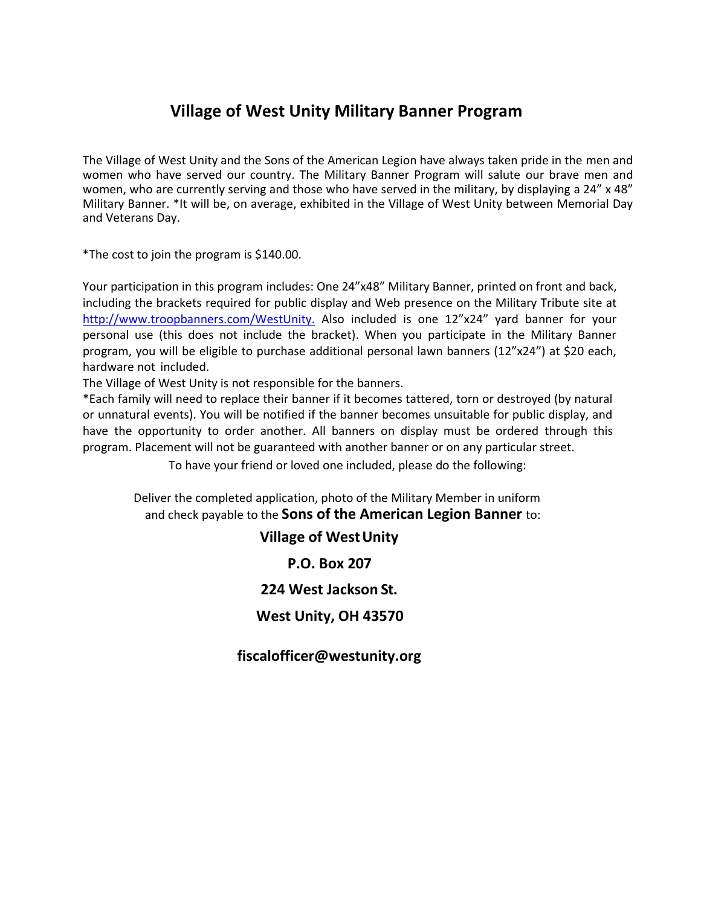## **Village of West Unity Military Banner Program**

The Village of West Unity and the Sons of the American Legion have always taken pride in the men and women who have served our country. The Military Banner Program will salute our brave men and women, who are currently serving and those who have served in the military, by displaying a 24" x 48" Military Banner. \*It will be, on average, exhibited in the Village of West Unity between Memorial Day and Veterans Day.

\*The cost to join the program is \$140.00.

Your participation in this program includes: One 24"x48" Military Banner, printed on front and back, [including the brackets required for public d](http://www.troopbanners.com/WestUnity)isplay and Web presence on the Military Tribute site at [http://www.troopbanners.com/WestUnity.](http://www.troopbanners.com/WestUnity) Also included is one 12"x24" yard banner for your personal use (this does not include the bracket). When you participate in the Military Banner program, you will be eligible to purchase additional personal lawn banners (12"x24") at \$20 each, hardware not included.

The Village of West Unity is not responsible for the banners.

\*Each family will need to replace their banner if it becomes tattered, torn or destroyed (by natural or unnatural events). You will be notified if the banner becomes unsuitable for public display, and have the opportunity to order another. All banners on display must be ordered through this program. Placement will not be guaranteed with another banner or on any particular street.

To have your friend or loved one included, please do the following:

Deliver the completed application, photo of the Military Member in uniform and check payable to the **Sons of the American Legion Banner** to:

**Village of WestUnity**

**P.O. Box 207** 

**224 West Jackson St.**

**West Unity, OH 4357[0](mailto:fiscalofficer@westunity.org)**

**[fiscalofficer@westunity.org](mailto:fiscalofficer@westunity.org)**